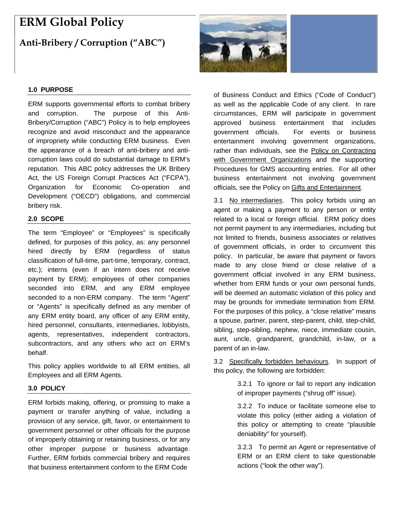# **ERM Global Policy**

# **Anti-Bribery / Corruption ("ABC")**

## **1.0 PURPOSE**

ERM supports governmental efforts to combat bribery and corruption. The purpose of this Anti-Bribery/Corruption ("ABC") Policy is to help employees recognize and avoid misconduct and the appearance of impropriety while conducting ERM business. Even the appearance of a breach of anti-bribery and anticorruption laws could do substantial damage to ERM's reputation. This ABC policy addresses the UK Bribery Act, the US Foreign Corrupt Practices Act ("FCPA"), Organization for Economic Co-operation and Development ("OECD") obligations, and commercial bribery risk.

#### **2.0 SCOPE**

The term "Employee" or "Employees" is specifically defined, for purposes of this policy, as: any personnel hired directly by ERM (regardless of status classification of full-time, part-time, temporary, contract, etc.); interns (even if an intern does not receive payment by ERM); employees of other companies seconded into ERM, and any ERM employee seconded to a non-ERM company. The term "Agent" or "Agents" is specifically defined as any member of any ERM entity board, any officer of any ERM entity, hired personnel, consultants, intermediaries, lobbyists, agents, representatives, independent contractors, subcontractors, and any others who act on ERM's behalf.

This policy applies worldwide to all ERM entities, all Employees and all ERM Agents.

## **3.0 POLICY**

ERM forbids making, offering, or promising to make a payment or transfer anything of value, including a provision of any service, gift, favor, or entertainment to government personnel or other officials for the purpose of improperly obtaining or retaining business, or for any other improper purpose or business advantage. Further, ERM forbids commercial bribery and requires that business entertainment conform to the ERM Code



of Business Conduct and Ethics ("Code of Conduct") as well as the applicable Code of any client. In rare circumstances, ERM will participate in government approved business entertainment that includes government officials. For events or business entertainment involving government organizations, rather than individuals, see the Policy on Contracting with Government Organizations and the supporting Procedures for GMS accounting entries. For all other business entertainment not involving government officials, see the Policy on Gifts and Entertainment.

3.1 No intermediaries. This policy forbids using an agent or making a payment to any person or entity related to a local or foreign official. ERM policy does not permit payment to any intermediaries, including but not limited to friends, business associates or relatives of government officials, in order to circumvent this policy. In particular, be aware that payment or favors made to any close friend or close relative of a government official involved in any ERM business, whether from ERM funds or your own personal funds, will be deemed an automatic violation of this policy and may be grounds for immediate termination from ERM. For the purposes of this policy, a "close relative" means a spouse, partner, parent, step-parent, child, step-child, sibling, step-sibling, nephew, niece, immediate cousin, aunt, uncle, grandparent, grandchild, in-law, or a parent of an in-law.

3.2 Specifically forbidden behaviours. In support of this policy, the following are forbidden:

> 3.2.1 To ignore or fail to report any indication of improper payments ("shrug off" issue).

> 3.2.2 To induce or facilitate someone else to violate this policy (either aiding a violation of this policy or attempting to create "plausible deniability" for yourself).

> 3.2.3 To permit an Agent or representative of ERM or an ERM client to take questionable actions ("look the other way").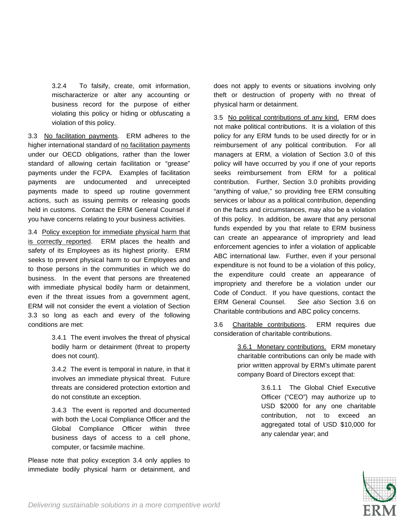3.2.4 To falsify, create, omit information, mischaracterize or alter any accounting or business record for the purpose of either violating this policy or hiding or obfuscating a violation of this policy.

3.3 No facilitation payments. ERM adheres to the higher international standard of no facilitation payments under our OECD obligations, rather than the lower standard of allowing certain facilitation or "grease" payments under the FCPA. Examples of facilitation payments are undocumented and unreceipted payments made to speed up routine government actions, such as issuing permits or releasing goods held in customs. Contact the ERM General Counsel if you have concerns relating to your business activities.

3.4 Policy exception for immediate physical harm that is correctly reported. ERM places the health and safety of its Employees as its highest priority. ERM seeks to prevent physical harm to our Employees and to those persons in the communities in which we do business. In the event that persons are threatened with immediate physical bodily harm or detainment, even if the threat issues from a government agent, ERM will not consider the event a violation of Section 3.3 so long as each and every of the following conditions are met:

> 3.4.1 The event involves the threat of physical bodily harm or detainment (threat to property does not count).

> 3.4.2 The event is temporal in nature, in that it involves an immediate physical threat. Future threats are considered protection extortion and do not constitute an exception.

> 3.4.3 The event is reported and documented with both the Local Compliance Officer and the Global Compliance Officer within three business days of access to a cell phone, computer, or facsimile machine.

Please note that policy exception 3.4 only applies to immediate bodily physical harm or detainment, and does not apply to events or situations involving only theft or destruction of property with no threat of physical harm or detainment.

3.5 No political contributions of any kind. ERM does not make political contributions. It is a violation of this policy for any ERM funds to be used directly for or in reimbursement of any political contribution. For all managers at ERM, a violation of Section 3.0 of this policy will have occurred by you if one of your reports seeks reimbursement from ERM for a political contribution. Further, Section 3.0 prohibits providing "anything of value," so providing free ERM consulting services or labour as a political contribution, depending on the facts and circumstances, may also be a violation of this policy. In addition, be aware that any personal funds expended by you that relate to ERM business can create an appearance of impropriety and lead enforcement agencies to infer a violation of applicable ABC international law. Further, even if your personal expenditure is not found to be a violation of this policy, the expenditure could create an appearance of impropriety and therefore be a violation under our Code of Conduct. If you have questions, contact the ERM General Counsel. *See also* Section 3.6 on Charitable contributions and ABC policy concerns.

3.6 Charitable contributions. ERM requires due consideration of charitable contributions.

> 3.6.1 Monetary contributions. ERM monetary charitable contributions can only be made with prior written approval by ERM's ultimate parent company Board of Directors except that:

> > 3.6.1.1 The Global Chief Executive Officer ("CEO") may authorize up to USD \$2000 for any one charitable contribution, not to exceed an aggregated total of USD \$10,000 for any calendar year; and